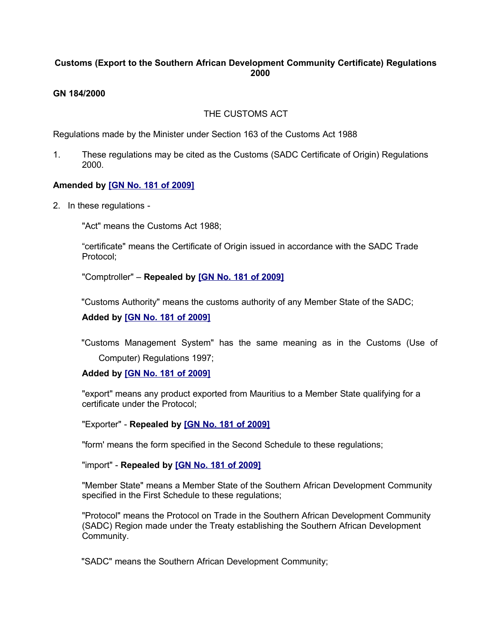## **Customs (Export to the Southern African Development Community Certificate) Regulations 2000**

## **GN 184/2000**

## THE CUSTOMS ACT

Regulations made by the Minister under Section 163 of the Customs Act 1988

1. These regulations may be cited as the Customs (SADC Certificate of Origin) Regulations 2000.

## **Amended by [\[GN No. 181 of 2009\]](http://www.gov.mu/scourt/doc/showDoc.do?dk=GN%20No.%20181%20of%202009&dt=R)**

2. In these regulations -

"Act" means the Customs Act 1988;

"certificate" means the Certificate of Origin issued in accordance with the SADC Trade Protocol;

"Comptroller" – **Repealed by [\[GN No. 181 of 2009\]](http://www.gov.mu/scourt/doc/showDoc.do?dk=GN%20No.%20181%20of%202009&dt=R)**

"Customs Authority" means the customs authority of any Member State of the SADC;

#### **Added by [\[GN No. 181 of 2009\]](http://www.gov.mu/scourt/doc/showDoc.do?dk=GN%20No.%20181%20of%202009&dt=R)**

"Customs Management System" has the same meaning as in the Customs (Use of Computer) Regulations 1997;

#### **Added by [\[GN No. 181 of 2009\]](http://www.gov.mu/scourt/doc/showDoc.do?dk=GN%20No.%20181%20of%202009&dt=R)**

"export" means any product exported from Mauritius to a Member State qualifying for a certificate under the Protocol;

"Exporter" - **Repealed by [\[GN No. 181 of 2009\]](http://www.gov.mu/scourt/doc/showDoc.do?dk=GN%20No.%20181%20of%202009&dt=R)**

"form' means the form specified in the Second Schedule to these regulations;

"import" - **Repealed by [\[GN No. 181 of 2009\]](http://www.gov.mu/scourt/doc/showDoc.do?dk=GN%20No.%20181%20of%202009&dt=R)**

"Member State" means a Member State of the Southern African Development Community specified in the First Schedule to these regulations;

"Protocol" means the Protocol on Trade in the Southern African Development Community (SADC) Region made under the Treaty establishing the Southern African Development Community.

"SADC" means the Southern African Development Community;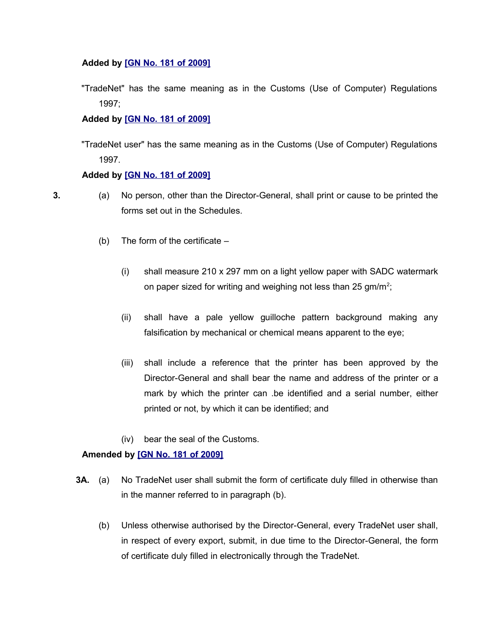#### **Added by [\[GN No. 181 of 2009\]](http://www.gov.mu/scourt/doc/showDoc.do?dk=GN%20No.%20181%20of%202009&dt=R)**

"TradeNet" has the same meaning as in the Customs (Use of Computer) Regulations 1997;

## **Added by [\[GN No. 181 of 2009\]](http://www.gov.mu/scourt/doc/showDoc.do?dk=GN%20No.%20181%20of%202009&dt=R)**

"TradeNet user" has the same meaning as in the Customs (Use of Computer) Regulations 1997.

#### **Added by [\[GN No. 181 of 2009\]](http://www.gov.mu/scourt/doc/showDoc.do?dk=GN%20No.%20181%20of%202009&dt=R)**

- 
- **3.** (a) No person, other than the Director-General, shall print or cause to be printed the forms set out in the Schedules.
	- (b) The form of the certificate
		- (i) shall measure 210 x 297 mm on a light yellow paper with SADC watermark on paper sized for writing and weighing not less than 25 gm/m<sup>2</sup>;
		- (ii) shall have a pale yellow guilloche pattern background making any falsification by mechanical or chemical means apparent to the eye;
		- (iii) shall include a reference that the printer has been approved by the Director-General and shall bear the name and address of the printer or a mark by which the printer can .be identified and a serial number, either printed or not, by which it can be identified; and
		- (iv) bear the seal of the Customs.

## **Amended by [\[GN No. 181 of 2009\]](http://www.gov.mu/scourt/doc/showDoc.do?dk=GN%20No.%20181%20of%202009&dt=R)**

- **3A.** (a) No TradeNet user shall submit the form of certificate duly filled in otherwise than in the manner referred to in paragraph (b).
	- (b) Unless otherwise authorised by the Director-General, every TradeNet user shall, in respect of every export, submit, in due time to the Director-General, the form of certificate duly filled in electronically through the TradeNet.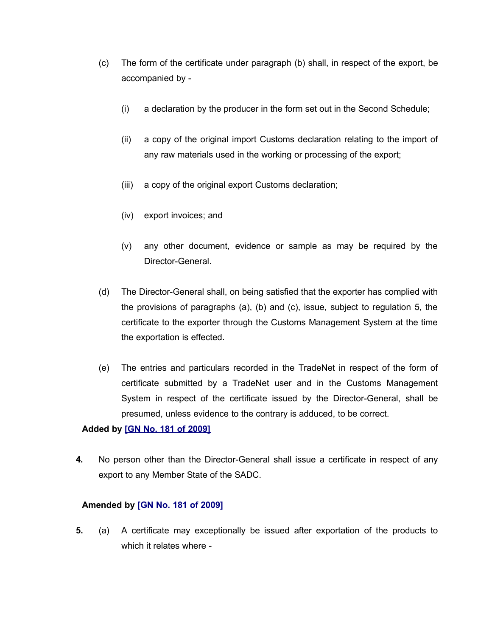- (c) The form of the certificate under paragraph (b) shall, in respect of the export, be accompanied by -
	- (i) a declaration by the producer in the form set out in the Second Schedule;
	- (ii) a copy of the original import Customs declaration relating to the import of any raw materials used in the working or processing of the export;
	- (iii) a copy of the original export Customs declaration;
	- (iv) export invoices; and
	- (v) any other document, evidence or sample as may be required by the Director-General.
- (d) The Director-General shall, on being satisfied that the exporter has complied with the provisions of paragraphs (a), (b) and (c), issue, subject to regulation 5, the certificate to the exporter through the Customs Management System at the time the exportation is effected.
- (e) The entries and particulars recorded in the TradeNet in respect of the form of certificate submitted by a TradeNet user and in the Customs Management System in respect of the certificate issued by the Director-General, shall be presumed, unless evidence to the contrary is adduced, to be correct.

## **Added by [\[GN No. 181 of 2009\]](http://www.gov.mu/scourt/doc/showDoc.do?dk=GN%20No.%20181%20of%202009&dt=R)**

**4.** No person other than the Director-General shall issue a certificate in respect of any export to any Member State of the SADC.

## **Amended by [\[GN No. 181 of 2009\]](http://www.gov.mu/scourt/doc/showDoc.do?dk=GN%20No.%20181%20of%202009&dt=R)**

**5.** (a) A certificate may exceptionally be issued after exportation of the products to which it relates where -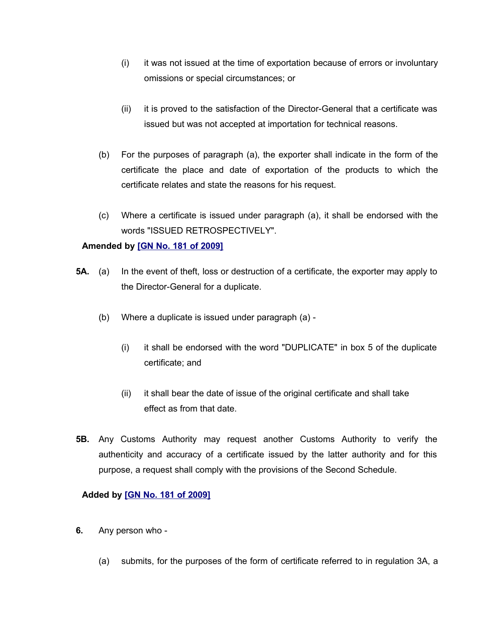- (i) it was not issued at the time of exportation because of errors or involuntary omissions or special circumstances; or
- (ii) it is proved to the satisfaction of the Director-General that a certificate was issued but was not accepted at importation for technical reasons.
- (b) For the purposes of paragraph (a), the exporter shall indicate in the form of the certificate the place and date of exportation of the products to which the certificate relates and state the reasons for his request.
- (c) Where a certificate is issued under paragraph (a), it shall be endorsed with the words "ISSUED RETROSPECTIVELY".

## **Amended by [\[GN No. 181 of 2009\]](http://www.gov.mu/scourt/doc/showDoc.do?dk=GN%20No.%20181%20of%202009&dt=R)**

- **5A.** (a) In the event of theft, loss or destruction of a certificate, the exporter may apply to the Director-General for a duplicate.
	- (b) Where a duplicate is issued under paragraph (a)
		- (i) it shall be endorsed with the word "DUPLICATE" in box 5 of the duplicate certificate; and
		- (ii) it shall bear the date of issue of the original certificate and shall take effect as from that date.
- **5B.** Any Customs Authority may request another Customs Authority to verify the authenticity and accuracy of a certificate issued by the latter authority and for this purpose, a request shall comply with the provisions of the Second Schedule.

## **Added by [\[GN No. 181 of 2009\]](http://www.gov.mu/scourt/doc/showDoc.do?dk=GN%20No.%20181%20of%202009&dt=R)**

- **6.** Any person who
	- (a) submits, for the purposes of the form of certificate referred to in regulation 3A, a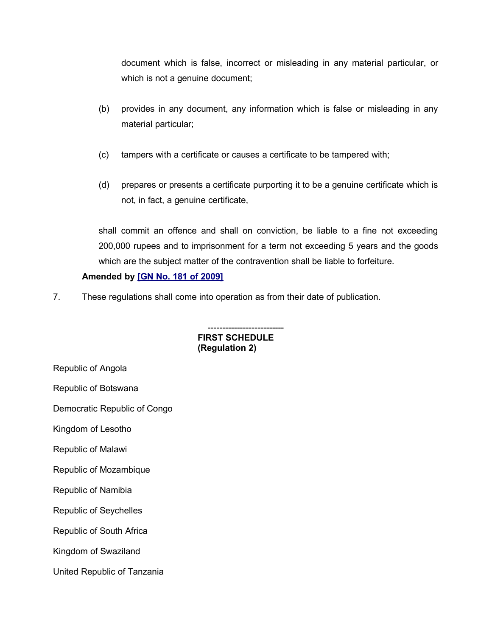document which is false, incorrect or misleading in any material particular, or which is not a genuine document;

- (b) provides in any document, any information which is false or misleading in any material particular;
- (c) tampers with a certificate or causes a certificate to be tampered with;
- (d) prepares or presents a certificate purporting it to be a genuine certificate which is not, in fact, a genuine certificate,

shall commit an offence and shall on conviction, be liable to a fine not exceeding 200,000 rupees and to imprisonment for a term not exceeding 5 years and the goods which are the subject matter of the contravention shall be liable to forfeiture.

## **Amended by [\[GN No. 181 of 2009\]](http://www.gov.mu/scourt/doc/showDoc.do?dk=GN%20No.%20181%20of%202009&dt=R)**

7. These regulations shall come into operation as from their date of publication.

-------------------------- **FIRST SCHEDULE (Regulation 2)**

Republic of Angola

Republic of Botswana

Democratic Republic of Congo

Kingdom of Lesotho

Republic of Malawi

Republic of Mozambique

Republic of Namibia

Republic of Seychelles

Republic of South Africa

Kingdom of Swaziland

United Republic of Tanzania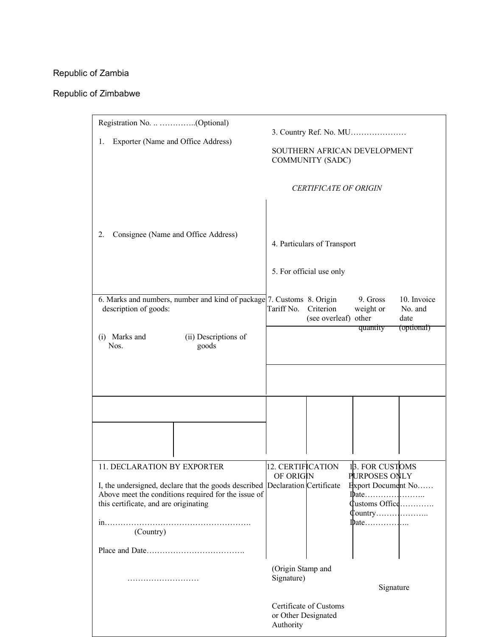# Republic of Zambia

## Republic of Zimbabwe

| Exporter (Name and Office Address)<br>1.                                                                                                                                                                                 | 3. Country Ref. No. MU<br>SOUTHERN AFRICAN DEVELOPMENT<br><b>COMMUNITY (SADC)</b>                                                                                                                                                                                                                                                                                                             |
|--------------------------------------------------------------------------------------------------------------------------------------------------------------------------------------------------------------------------|-----------------------------------------------------------------------------------------------------------------------------------------------------------------------------------------------------------------------------------------------------------------------------------------------------------------------------------------------------------------------------------------------|
| Consignee (Name and Office Address)<br>2.                                                                                                                                                                                | <b>CERTIFICATE OF ORIGIN</b><br>4. Particulars of Transport<br>5. For official use only                                                                                                                                                                                                                                                                                                       |
| 6. Marks and numbers, number and kind of package 7. Customs 8. Origin<br>description of goods:<br>(i) Marks and<br>(ii) Descriptions of<br>Nos.<br>goods                                                                 | 9. Gross<br>10. Invoice<br>Criterion<br>Tariff No.<br>weight or<br>No. and<br>(see overleaf) other<br>date<br>(optional)<br>quantity                                                                                                                                                                                                                                                          |
|                                                                                                                                                                                                                          |                                                                                                                                                                                                                                                                                                                                                                                               |
| 11. DECLARATION BY EXPORTER<br>I, the undersigned, declare that the goods described Declaration Certificate<br>Above meet the conditions required for the issue of<br>this certificate, and are originating<br>(Country) | 12. CERTIFICATION<br>13. FOR CUSTOMS<br>OF ORIGIN<br>PURPOSES ONLY<br>Export Document No<br>Customs Office<br>$\phi$ q $\phi$ and $\phi$ and $\phi$ and $\phi$ and $\phi$ and $\phi$ and $\phi$ and $\phi$ and $\phi$ and $\phi$ and $\phi$ and $\phi$ and $\phi$ and $\phi$ and $\phi$ and $\phi$ and $\phi$ and $\phi$ and $\phi$ and $\phi$ and $\phi$ and $\phi$ and $\phi$ and $\phi$ an |
|                                                                                                                                                                                                                          | (Origin Stamp and                                                                                                                                                                                                                                                                                                                                                                             |
|                                                                                                                                                                                                                          | Signature)<br>Signature<br>Certificate of Customs<br>or Other Designated<br>Authority                                                                                                                                                                                                                                                                                                         |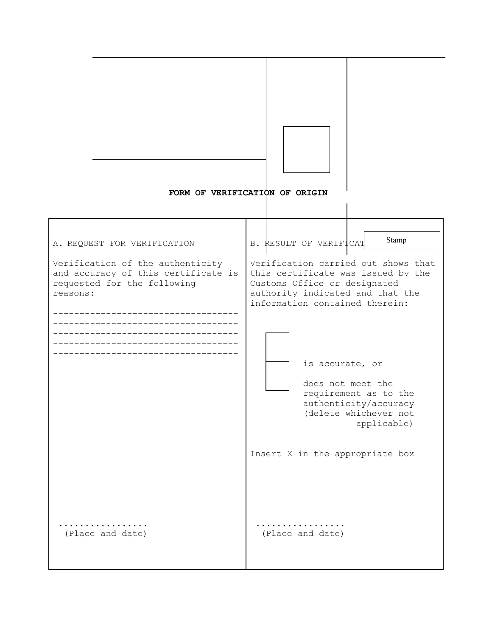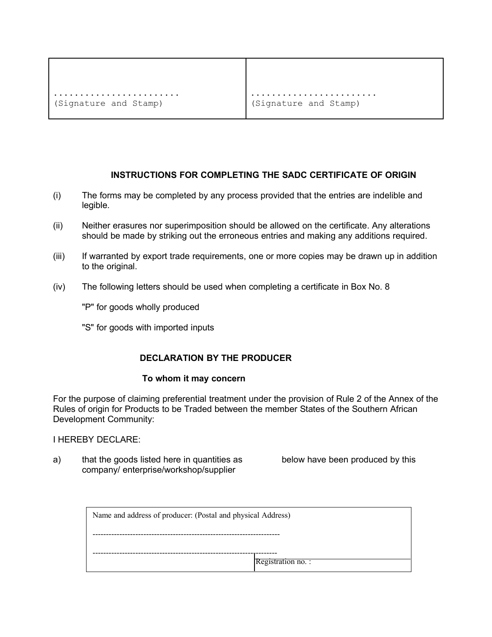```
........................
(Signature and Stamp)
```

```
........................
(Signature and Stamp)
```
## **INSTRUCTIONS FOR COMPLETING THE SADC CERTIFICATE OF ORIGIN**

- (i) The forms may be completed by any process provided that the entries are indelible and legible.
- (ii) Neither erasures nor superimposition should be allowed on the certificate. Any alterations should be made by striking out the erroneous entries and making any additions required.
- (iii) If warranted by export trade requirements, one or more copies may be drawn up in addition to the original.
- (iv) The following letters should be used when completing a certificate in Box No. 8

"P" for goods wholly produced

"S" for goods with imported inputs

## **DECLARATION BY THE PRODUCER**

#### **To whom it may concern**

For the purpose of claiming preferential treatment under the provision of Rule 2 of the Annex of the Rules of origin for Products to be Traded between the member States of the Southern African Development Community:

I HEREBY DECLARE:

a) that the goods listed here in quantities as below have been produced by this company/ enterprise/workshop/supplier

| Name and address of producer: (Postal and physical Address) |                   |  |
|-------------------------------------------------------------|-------------------|--|
|                                                             |                   |  |
|                                                             | Registration no.: |  |